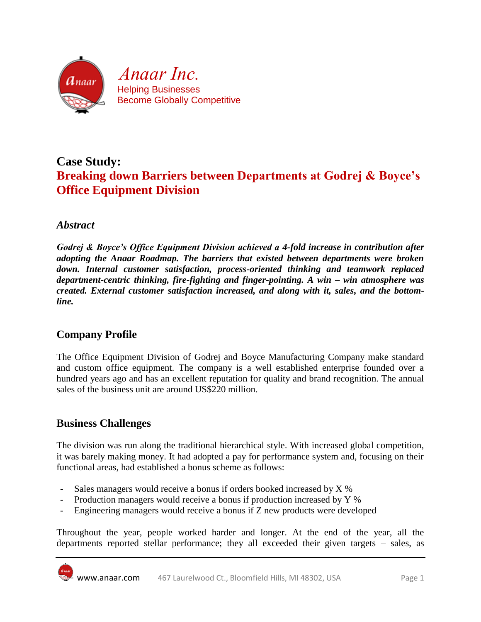

# **Case Study: Breaking down Barriers between Departments at Godrej & Boyce's Office Equipment Division**

### *Abstract*

*Godrej & Boyce's Office Equipment Division achieved a 4-fold increase in contribution after adopting the Anaar Roadmap. The barriers that existed between departments were broken down. Internal customer satisfaction, process-oriented thinking and teamwork replaced department-centric thinking, fire-fighting and finger-pointing. A win – win atmosphere was created. External customer satisfaction increased, and along with it, sales, and the bottomline.*

### **Company Profile**

The Office Equipment Division of Godrej and Boyce Manufacturing Company make standard and custom office equipment. The company is a well established enterprise founded over a hundred years ago and has an excellent reputation for quality and brand recognition. The annual sales of the business unit are around US\$220 million.

### **Business Challenges**

The division was run along the traditional hierarchical style. With increased global competition, it was barely making money. It had adopted a pay for performance system and, focusing on their functional areas, had established a bonus scheme as follows:

- Sales managers would receive a bonus if orders booked increased by X %
- Production managers would receive a bonus if production increased by Y %
- Engineering managers would receive a bonus if Z new products were developed

Throughout the year, people worked harder and longer. At the end of the year, all the departments reported stellar performance; they all exceeded their given targets – sales, as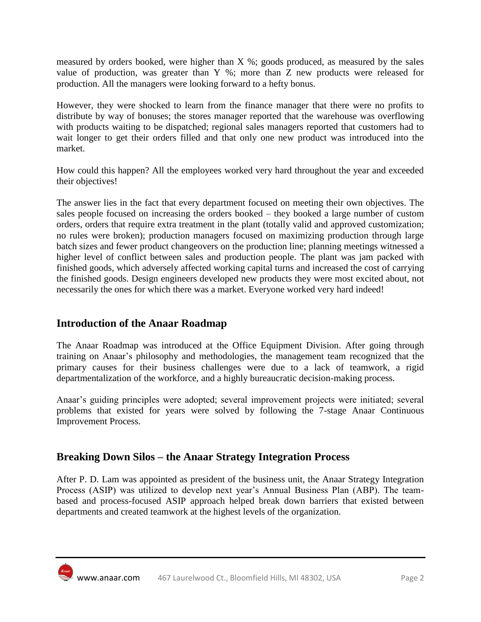measured by orders booked, were higher than X %; goods produced, as measured by the sales value of production, was greater than Y %; more than Z new products were released for production. All the managers were looking forward to a hefty bonus.

However, they were shocked to learn from the finance manager that there were no profits to distribute by way of bonuses; the stores manager reported that the warehouse was overflowing with products waiting to be dispatched; regional sales managers reported that customers had to wait longer to get their orders filled and that only one new product was introduced into the market.

How could this happen? All the employees worked very hard throughout the year and exceeded their objectives!

The answer lies in the fact that every department focused on meeting their own objectives. The sales people focused on increasing the orders booked – they booked a large number of custom orders, orders that require extra treatment in the plant (totally valid and approved customization; no rules were broken); production managers focused on maximizing production through large batch sizes and fewer product changeovers on the production line; planning meetings witnessed a higher level of conflict between sales and production people. The plant was jam packed with finished goods, which adversely affected working capital turns and increased the cost of carrying the finished goods. Design engineers developed new products they were most excited about, not necessarily the ones for which there was a market. Everyone worked very hard indeed!

### **Introduction of the Anaar Roadmap**

The Anaar Roadmap was introduced at the Office Equipment Division. After going through training on Anaar's philosophy and methodologies, the management team recognized that the primary causes for their business challenges were due to a lack of teamwork, a rigid departmentalization of the workforce, and a highly bureaucratic decision-making process.

Anaar's guiding principles were adopted; several improvement projects were initiated; several problems that existed for years were solved by following the 7-stage Anaar Continuous Improvement Process.

## **Breaking Down Silos – the Anaar Strategy Integration Process**

After P. D. Lam was appointed as president of the business unit, the Anaar Strategy Integration Process (ASIP) was utilized to develop next year's Annual Business Plan (ABP). The teambased and process-focused ASIP approach helped break down barriers that existed between departments and created teamwork at the highest levels of the organization.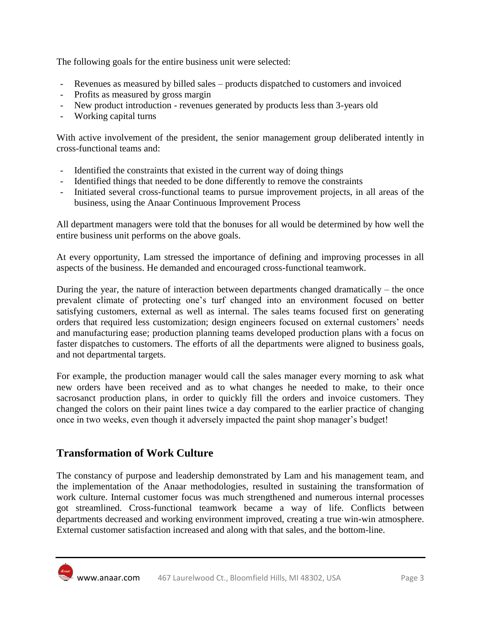The following goals for the entire business unit were selected:

- Revenues as measured by billed sales products dispatched to customers and invoiced
- Profits as measured by gross margin
- New product introduction revenues generated by products less than 3-years old
- Working capital turns

With active involvement of the president, the senior management group deliberated intently in cross-functional teams and:

- Identified the constraints that existed in the current way of doing things
- Identified things that needed to be done differently to remove the constraints
- Initiated several cross-functional teams to pursue improvement projects, in all areas of the business, using the Anaar Continuous Improvement Process

All department managers were told that the bonuses for all would be determined by how well the entire business unit performs on the above goals.

At every opportunity, Lam stressed the importance of defining and improving processes in all aspects of the business. He demanded and encouraged cross-functional teamwork.

During the year, the nature of interaction between departments changed dramatically – the once prevalent climate of protecting one's turf changed into an environment focused on better satisfying customers, external as well as internal. The sales teams focused first on generating orders that required less customization; design engineers focused on external customers' needs and manufacturing ease; production planning teams developed production plans with a focus on faster dispatches to customers. The efforts of all the departments were aligned to business goals, and not departmental targets.

For example, the production manager would call the sales manager every morning to ask what new orders have been received and as to what changes he needed to make, to their once sacrosanct production plans, in order to quickly fill the orders and invoice customers. They changed the colors on their paint lines twice a day compared to the earlier practice of changing once in two weeks, even though it adversely impacted the paint shop manager's budget!

### **Transformation of Work Culture**

The constancy of purpose and leadership demonstrated by Lam and his management team, and the implementation of the Anaar methodologies, resulted in sustaining the transformation of work culture. Internal customer focus was much strengthened and numerous internal processes got streamlined. Cross-functional teamwork became a way of life. Conflicts between departments decreased and working environment improved, creating a true win-win atmosphere. External customer satisfaction increased and along with that sales, and the bottom-line.